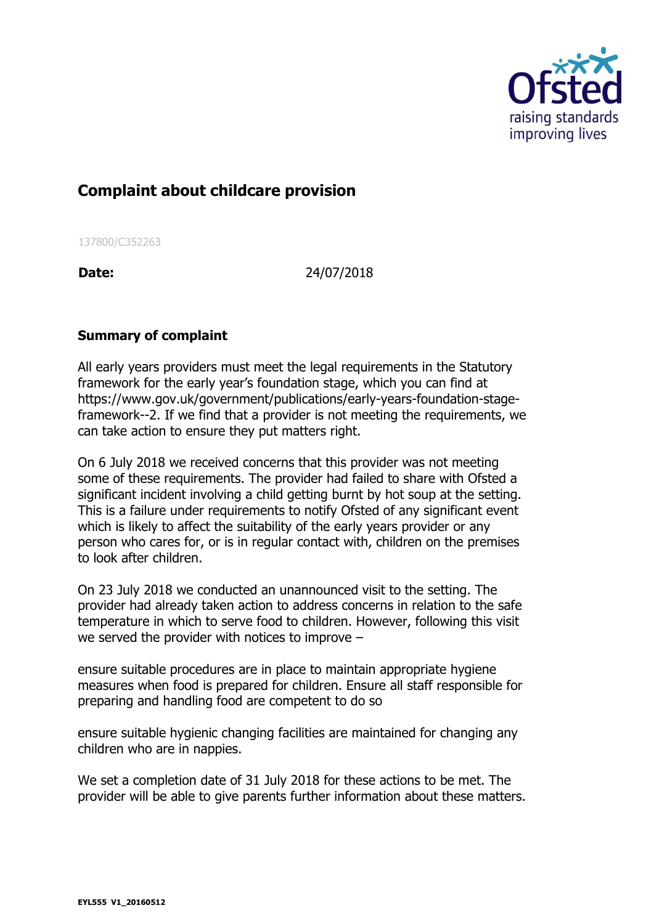

## **Complaint about childcare provision**

137800/C352263

**Date:** 24/07/2018

## **Summary of complaint**

All early years providers must meet the legal requirements in the Statutory framework for the early year's foundation stage, which you can find at https://www.gov.uk/government/publications/early-years-foundation-stageframework--2. If we find that a provider is not meeting the requirements, we can take action to ensure they put matters right.

On 6 July 2018 we received concerns that this provider was not meeting some of these requirements. The provider had failed to share with Ofsted a significant incident involving a child getting burnt by hot soup at the setting. This is a failure under requirements to notify Ofsted of any significant event which is likely to affect the suitability of the early years provider or any person who cares for, or is in regular contact with, children on the premises to look after children.

On 23 July 2018 we conducted an unannounced visit to the setting. The provider had already taken action to address concerns in relation to the safe temperature in which to serve food to children. However, following this visit we served the provider with notices to improve –

ensure suitable procedures are in place to maintain appropriate hygiene measures when food is prepared for children. Ensure all staff responsible for preparing and handling food are competent to do so

ensure suitable hygienic changing facilities are maintained for changing any children who are in nappies.

We set a completion date of 31 July 2018 for these actions to be met. The provider will be able to give parents further information about these matters.